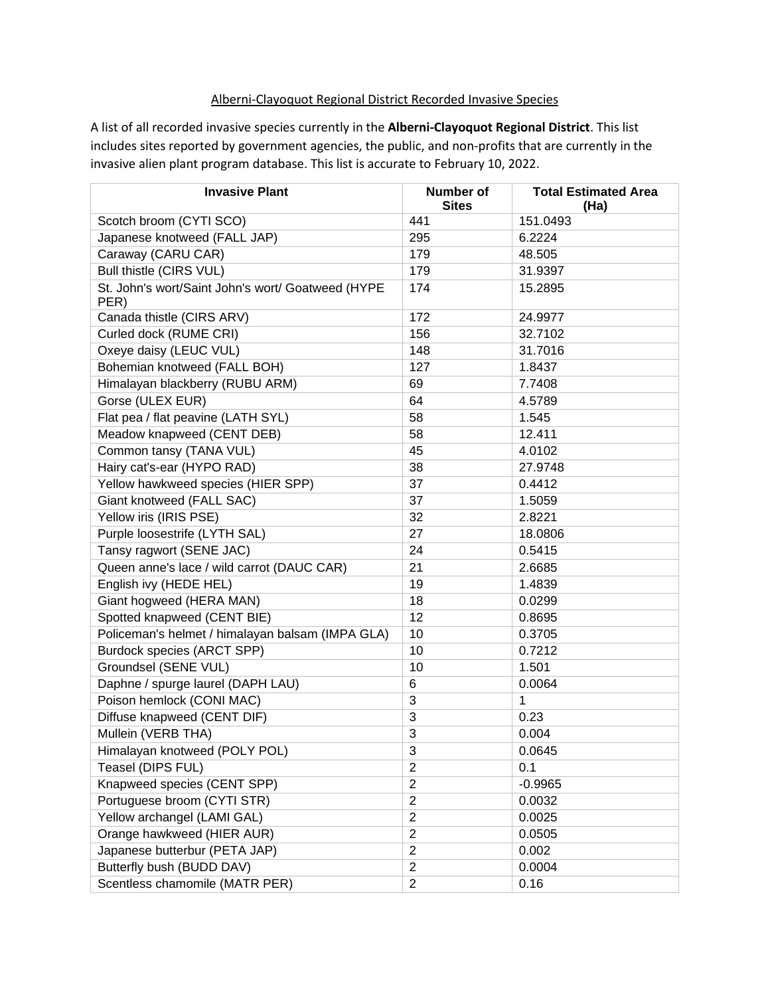## Alberni-Clayoquot Regional District Recorded Invasive Species

A list of all recorded invasive species currently in the **Alberni-Clayoquot Regional District**. This list includes sites reported by government agencies, the public, and non-profits that are currently in the invasive alien plant program database. This list is accurate to February 10, 2022.

| <b>Invasive Plant</b>                                     | Number of<br><b>Sites</b> | <b>Total Estimated Area</b><br>(Ha) |
|-----------------------------------------------------------|---------------------------|-------------------------------------|
| Scotch broom (CYTI SCO)                                   | 441                       | 151.0493                            |
| Japanese knotweed (FALL JAP)                              | 295                       | 6.2224                              |
| Caraway (CARU CAR)                                        | 179                       | 48.505                              |
| Bull thistle (CIRS VUL)                                   | 179                       | 31.9397                             |
| St. John's wort/Saint John's wort/ Goatweed (HYPE<br>PER) | 174                       | 15.2895                             |
| Canada thistle (CIRS ARV)                                 | 172                       | 24.9977                             |
| Curled dock (RUME CRI)                                    | 156                       | 32.7102                             |
| Oxeye daisy (LEUC VUL)                                    | 148                       | 31.7016                             |
| Bohemian knotweed (FALL BOH)                              | 127                       | 1.8437                              |
| Himalayan blackberry (RUBU ARM)                           | 69                        | 7.7408                              |
| Gorse (ULEX EUR)                                          | 64                        | 4.5789                              |
| Flat pea / flat peavine (LATH SYL)                        | 58                        | 1.545                               |
| Meadow knapweed (CENT DEB)                                | 58                        | 12.411                              |
| Common tansy (TANA VUL)                                   | 45                        | 4.0102                              |
| Hairy cat's-ear (HYPO RAD)                                | 38                        | 27.9748                             |
| Yellow hawkweed species (HIER SPP)                        | 37                        | 0.4412                              |
| Giant knotweed (FALL SAC)                                 | 37                        | 1.5059                              |
| Yellow iris (IRIS PSE)                                    | 32                        | 2.8221                              |
| Purple loosestrife (LYTH SAL)                             | 27                        | 18.0806                             |
| Tansy ragwort (SENE JAC)                                  | 24                        | 0.5415                              |
| Queen anne's lace / wild carrot (DAUC CAR)                | 21                        | 2.6685                              |
| English ivy (HEDE HEL)                                    | 19                        | 1.4839                              |
| Giant hogweed (HERA MAN)                                  | 18                        | 0.0299                              |
| Spotted knapweed (CENT BIE)                               | 12                        | 0.8695                              |
| Policeman's helmet / himalayan balsam (IMPA GLA)          | 10                        | 0.3705                              |
| Burdock species (ARCT SPP)                                | 10                        | 0.7212                              |
| Groundsel (SENE VUL)                                      | 10                        | 1.501                               |
| Daphne / spurge laurel (DAPH LAU)                         | 6                         | 0.0064                              |
| Poison hemlock (CONI MAC)                                 | 3                         | $\mathbf{1}$                        |
| Diffuse knapweed (CENT DIF)                               | 3                         | 0.23                                |
| Mullein (VERB THA)                                        | 3                         | 0.004                               |
| Himalayan knotweed (POLY POL)                             | 3                         | 0.0645                              |
| Teasel (DIPS FUL)                                         | $\overline{2}$            | 0.1                                 |
| Knapweed species (CENT SPP)                               | $\overline{2}$            | $-0.9965$                           |
| Portuguese broom (CYTI STR)                               | $\overline{2}$            | 0.0032                              |
| Yellow archangel (LAMI GAL)                               | $\overline{c}$            | 0.0025                              |
| Orange hawkweed (HIER AUR)                                | $\overline{2}$            | 0.0505                              |
| Japanese butterbur (PETA JAP)                             | $\overline{2}$            | 0.002                               |
| Butterfly bush (BUDD DAV)                                 | $\overline{2}$            | 0.0004                              |
| Scentless chamomile (MATR PER)                            | $\overline{2}$            | 0.16                                |